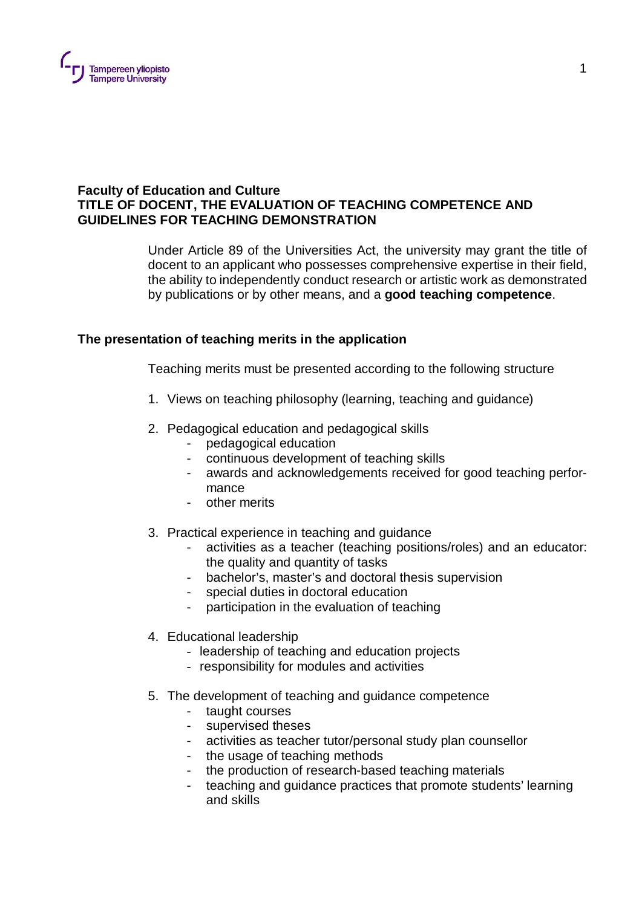

## **Faculty of Education and Culture TITLE OF DOCENT, THE EVALUATION OF TEACHING COMPETENCE AND GUIDELINES FOR TEACHING DEMONSTRATION**

Under Article 89 of the Universities Act, the university may grant the title of docent to an applicant who possesses comprehensive expertise in their field, the ability to independently conduct research or artistic work as demonstrated by publications or by other means, and a **good teaching competence**.

# **The presentation of teaching merits in the application**

Teaching merits must be presented according to the following structure

- 1. Views on teaching philosophy (learning, teaching and guidance)
- 2. Pedagogical education and pedagogical skills
	- pedagogical education
	- continuous development of teaching skills
	- awards and acknowledgements received for good teaching performance
	- other merits
- 3. Practical experience in teaching and guidance
	- activities as a teacher (teaching positions/roles) and an educator: the quality and quantity of tasks
	- bachelor's, master's and doctoral thesis supervision
	- special duties in doctoral education
	- participation in the evaluation of teaching
- 4. Educational leadership
	- leadership of teaching and education projects
	- responsibility for modules and activities
- 5. The development of teaching and guidance competence
	- taught courses
	- supervised theses
	- activities as teacher tutor/personal study plan counsellor
	- the usage of teaching methods
	- the production of research-based teaching materials
	- teaching and guidance practices that promote students' learning and skills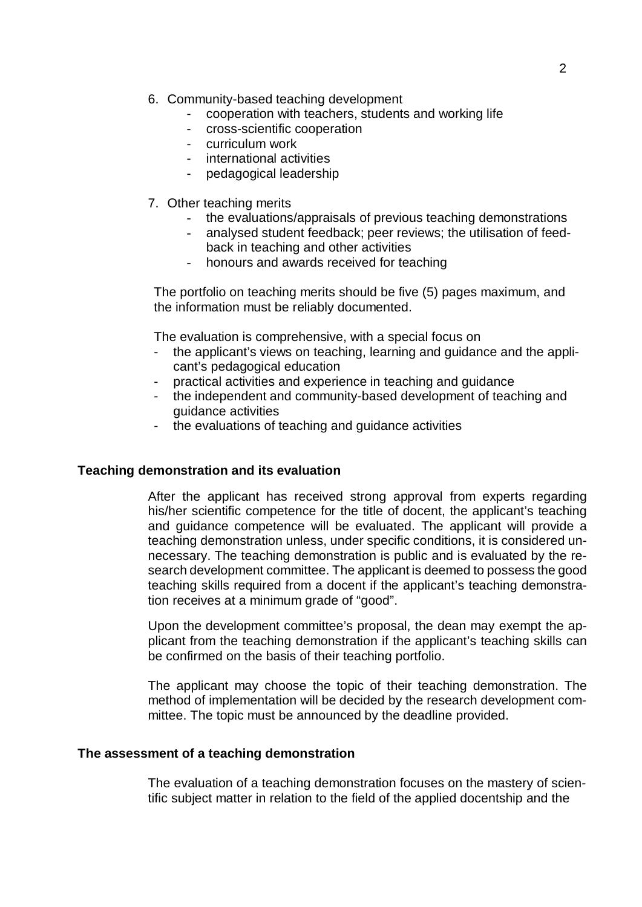- 6. Community-based teaching development
	- cooperation with teachers, students and working life
	- cross-scientific cooperation
	- curriculum work
	- international activities
	- pedagogical leadership
- 7. Other teaching merits
	- the evaluations/appraisals of previous teaching demonstrations
	- analysed student feedback; peer reviews; the utilisation of feedback in teaching and other activities
	- honours and awards received for teaching

The portfolio on teaching merits should be five (5) pages maximum, and the information must be reliably documented.

The evaluation is comprehensive, with a special focus on

- the applicant's views on teaching, learning and guidance and the applicant's pedagogical education
- practical activities and experience in teaching and guidance
- the independent and community-based development of teaching and guidance activities
- the evaluations of teaching and guidance activities

#### **Teaching demonstration and its evaluation**

After the applicant has received strong approval from experts regarding his/her scientific competence for the title of docent, the applicant's teaching and guidance competence will be evaluated. The applicant will provide a teaching demonstration unless, under specific conditions, it is considered unnecessary. The teaching demonstration is public and is evaluated by the research development committee. The applicant is deemed to possess the good teaching skills required from a docent if the applicant's teaching demonstration receives at a minimum grade of "good".

Upon the development committee's proposal, the dean may exempt the applicant from the teaching demonstration if the applicant's teaching skills can be confirmed on the basis of their teaching portfolio.

The applicant may choose the topic of their teaching demonstration. The method of implementation will be decided by the research development committee. The topic must be announced by the deadline provided.

#### **The assessment of a teaching demonstration**

The evaluation of a teaching demonstration focuses on the mastery of scientific subject matter in relation to the field of the applied docentship and the